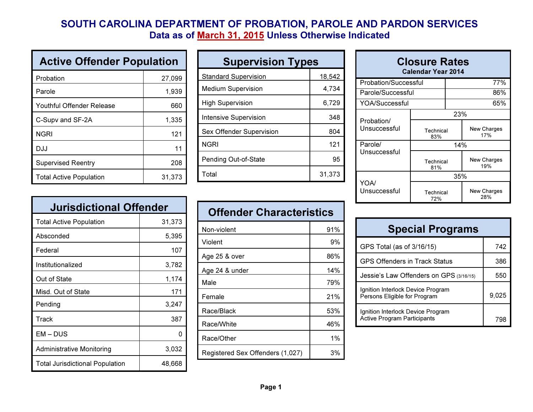## SOUTH CAROLINA DEPARTMENT OF PROBATION, PAROLE AND PARDON SERVICESData as of <u>March 31, 2015</u> Unless Otherwise Indicated

| <b>Active Offender Population</b> |        |  |
|-----------------------------------|--------|--|
| Probation                         | 27,099 |  |
| Parole                            | 1,939  |  |
| Youthful Offender Release         | 660    |  |
| C-Supv and SF-2A                  | 1,335  |  |
| <b>NGRI</b>                       | 121    |  |
| DJJ                               | 11     |  |
| <b>Supervised Reentry</b>         | 208    |  |
| <b>Total Active Population</b>    | 31,373 |  |

| <b>Jurisdictional Offender</b>         |        |  |
|----------------------------------------|--------|--|
| <b>Total Active Population</b>         | 31,373 |  |
| Absconded                              | 5,395  |  |
| Federal                                | 107    |  |
| Institutionalized                      | 3,782  |  |
| Out of State                           | 1,174  |  |
| Misd. Out of State                     | 171    |  |
| Pending                                | 3,247  |  |
| Track                                  | 387    |  |
| EM-DUS                                 |        |  |
| <b>Administrative Monitoring</b>       | 3,032  |  |
| <b>Total Jurisdictional Population</b> | 48,668 |  |

| <b>Supervision Types</b>     |        |  |
|------------------------------|--------|--|
| <b>Standard Supervision</b>  | 18,542 |  |
| <b>Medium Supervision</b>    | 4,734  |  |
| <b>High Supervision</b>      | 6,729  |  |
| <b>Intensive Supervision</b> | 348    |  |
| Sex Offender Supervision     | 804    |  |
| <b>NGRI</b>                  | 121    |  |
| Pending Out-of-State         | 95     |  |
| Total                        | 31,373 |  |

| <b>Offender Characteristics</b>  |     |  |
|----------------------------------|-----|--|
| Non-violent                      | 91% |  |
| Violent                          | 9%  |  |
| Age 25 & over                    | 86% |  |
| Age 24 & under                   | 14% |  |
| Male                             | 79% |  |
| Female                           | 21% |  |
| Race/Black                       | 53% |  |
| Race/White                       | 46% |  |
| Race/Other                       | 1%  |  |
| Registered Sex Offenders (1,027) | 3%  |  |

| <b>Closure Rates</b><br><b>Calendar Year 2014</b> |                         |  |                    |
|---------------------------------------------------|-------------------------|--|--------------------|
| Probation/Successful                              |                         |  | 77%                |
| Parole/Successful                                 |                         |  | 86%                |
| YOA/Successful                                    |                         |  | 65%                |
|                                                   | 23%                     |  |                    |
| Probation/<br>Unsuccessful                        | Technical<br>17%<br>83% |  | <b>New Charges</b> |
| Parole/                                           |                         |  | 14%                |
| Unsuccessful                                      | Technical<br>81%        |  | New Charges<br>19% |
| YOA/<br>Unsuccesstul                              | 35%                     |  |                    |
|                                                   | Technical<br>72%        |  | New Charges<br>28% |

| <b>Special Programs</b>                                                 |       |  |
|-------------------------------------------------------------------------|-------|--|
| GPS Total (as of 3/16/15)                                               | 742   |  |
| <b>GPS Offenders in Track Status</b>                                    | 386   |  |
| Jessie's Law Offenders on GPS (3/16/15)                                 | 550   |  |
| Ignition Interlock Device Program<br>Persons Eligible for Program       | 9,025 |  |
| Ignition Interlock Device Program<br><b>Active Program Participants</b> | 79۲   |  |